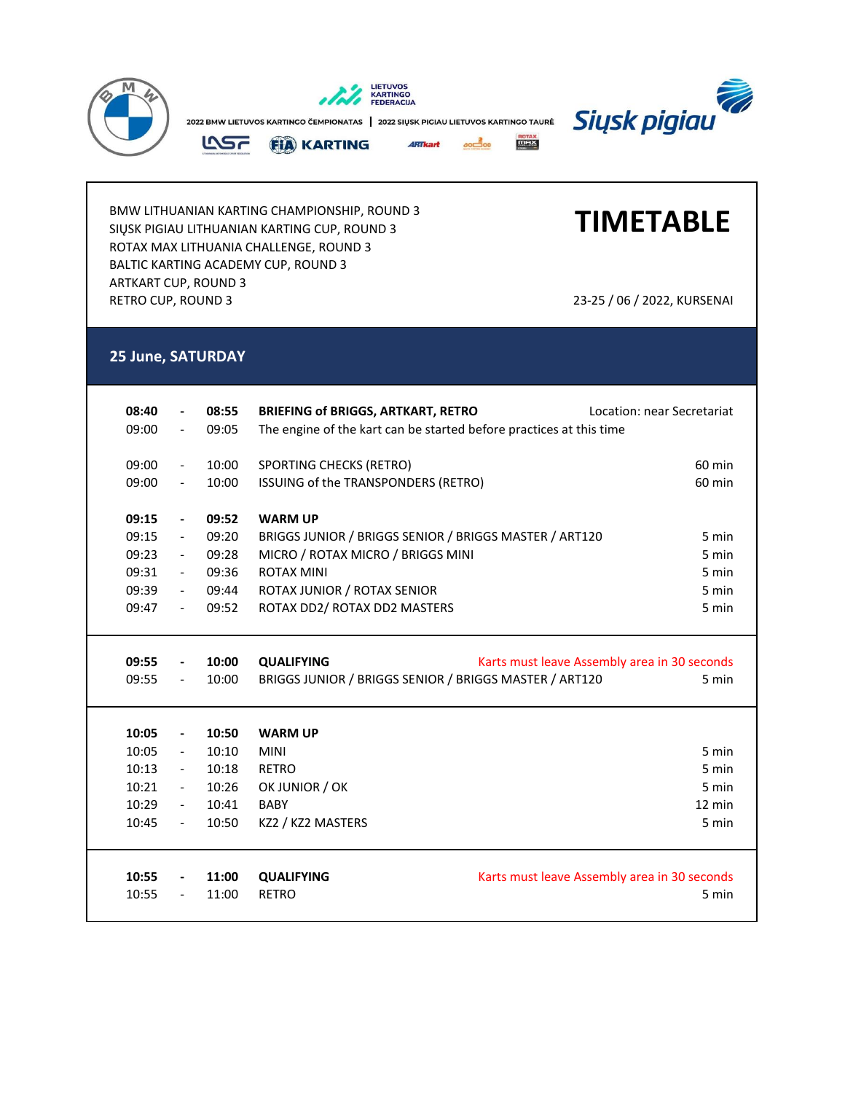

BMW LITHUANIAN KARTING CHAMPIONSHIP, ROUND 3 SIŲSK PIGIAU LITHUANIAN KARTING CUP, ROUND 3 ROTAX MAX LITHUANIA CHALLENGE, ROUND 3 BALTIC KARTING ACADEMY CUP, ROUND 3 ARTKART CUP, ROUND 3 RETRO CUP, ROUND 3 23-25 / 06 / 2022, KURSENAI

**TIMETABLE**

## **25 June, SATURDAY**

| 08:40 |                          | 08:55 | <b>BRIEFING of BRIGGS, ARTKART, RETRO</b>                           | Location: near Secretariat                   |  |
|-------|--------------------------|-------|---------------------------------------------------------------------|----------------------------------------------|--|
| 09:00 |                          | 09:05 | The engine of the kart can be started before practices at this time |                                              |  |
| 09:00 | $\overline{\phantom{a}}$ | 10:00 | SPORTING CHECKS (RETRO)                                             | 60 min                                       |  |
| 09:00 | $\overline{\phantom{a}}$ | 10:00 | ISSUING of the TRANSPONDERS (RETRO)                                 | $60$ min                                     |  |
| 09:15 | $\overline{\phantom{a}}$ | 09:52 | <b>WARM UP</b>                                                      |                                              |  |
| 09:15 | $\overline{\phantom{a}}$ | 09:20 | BRIGGS JUNIOR / BRIGGS SENIOR / BRIGGS MASTER / ART120<br>5 min     |                                              |  |
| 09:23 | $-$                      | 09:28 | MICRO / ROTAX MICRO / BRIGGS MINI                                   | 5 min                                        |  |
| 09:31 | $\sim$                   | 09:36 | <b>ROTAX MINI</b>                                                   | 5 min                                        |  |
| 09:39 | $\overline{\phantom{a}}$ | 09:44 | ROTAX JUNIOR / ROTAX SENIOR                                         | 5 min                                        |  |
| 09:47 | $\overline{\phantom{a}}$ | 09:52 | ROTAX DD2/ ROTAX DD2 MASTERS                                        | 5 min                                        |  |
|       |                          |       |                                                                     |                                              |  |
|       |                          |       |                                                                     |                                              |  |
| 09:55 | $\overline{\phantom{a}}$ | 10:00 | <b>QUALIFYING</b>                                                   | Karts must leave Assembly area in 30 seconds |  |
| 09:55 | $\overline{\phantom{a}}$ | 10:00 | BRIGGS JUNIOR / BRIGGS SENIOR / BRIGGS MASTER / ART120              | 5 min                                        |  |
|       |                          |       |                                                                     |                                              |  |
|       |                          |       |                                                                     |                                              |  |
| 10:05 | $\overline{\phantom{a}}$ | 10:50 | <b>WARM UP</b>                                                      |                                              |  |
| 10:05 | $\overline{\phantom{a}}$ | 10:10 | <b>MINI</b>                                                         | 5 min                                        |  |
| 10:13 | $\overline{\phantom{a}}$ | 10:18 | <b>RETRO</b>                                                        | 5 min                                        |  |
| 10:21 | $\sim$                   | 10:26 | OK JUNIOR / OK                                                      | 5 min                                        |  |
| 10:29 | $\overline{\phantom{a}}$ | 10:41 | <b>BABY</b>                                                         | $12 \text{ min}$                             |  |
| 10:45 | $\overline{\phantom{a}}$ | 10:50 | KZ2 / KZ2 MASTERS                                                   | 5 min                                        |  |
|       |                          |       |                                                                     |                                              |  |
| 10:55 | $\blacksquare$           | 11:00 | <b>QUALIFYING</b>                                                   | Karts must leave Assembly area in 30 seconds |  |
| 10:55 |                          | 11:00 | <b>RETRO</b>                                                        |                                              |  |
|       |                          |       |                                                                     | 5 min                                        |  |